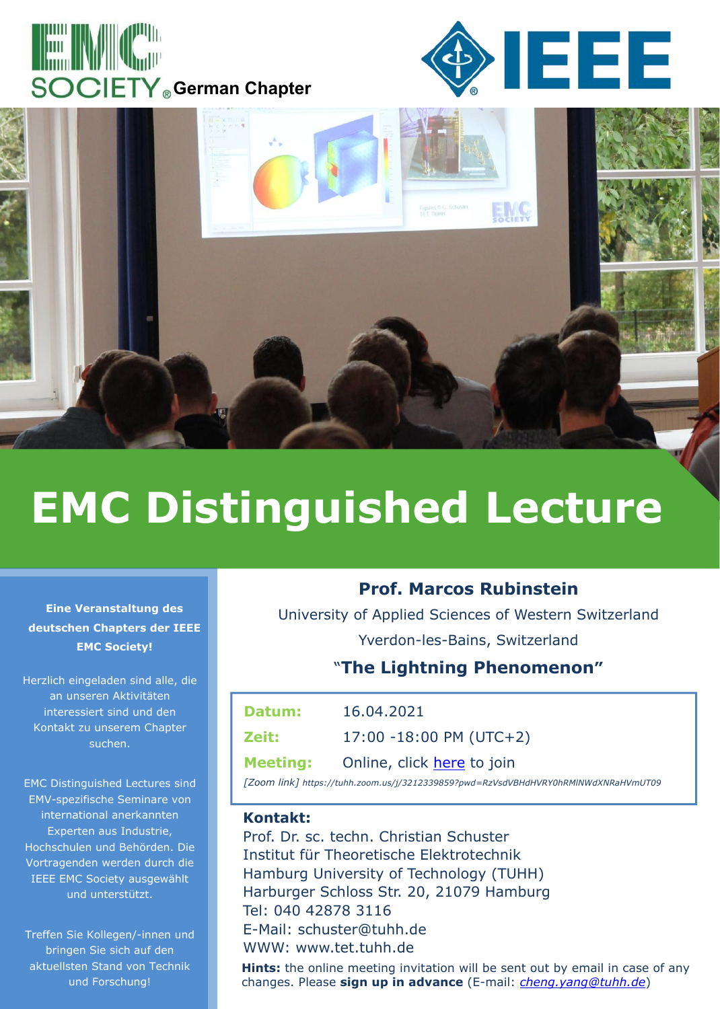





# **EMC Distinguished Lecture**

#### **Eine Veranstaltung des deutschen Chapters der IEEE EMC Society!**

Herzlich eingeladen sind alle, die an unseren Aktivitäten interessiert sind und den Kontakt zu unserem Chapter suchen.

EMC Distinguished Lectures sind EMV-spezifische Seminare von international anerkannten Experten aus Industrie, Hochschulen und Behörden. Die Vortragenden werden durch die IEEE EMC Society ausgewählt und unterstützt.

Treffen Sie Kollegen/-innen und bringen Sie sich auf den aktuellsten Stand von Technik und Forschung!

## **Prof. Marcos Rubinstein**

University of Applied Sciences of Western Switzerland Yverdon-les-Bains, Switzerland

## "**The Lightning Phenomenon"**

| Datum:          | 16.04.2021                 |
|-----------------|----------------------------|
| Zeit:           | $17:00 - 18:00$ PM (UTC+2) |
| <b>Meeting:</b> | Online, click here to join |

*[Zoom link] https://tuhh.zoom.us/j/3212339859?pwd=RzVsdVBHdHVRY0hRMlNWdXNRaHVmUT09*

### **Kontakt:**

Prof. Dr. sc. techn. Christian Schuster Institut für Theoretische Elektrotechnik Hamburg University of Technology (TUHH) Harburger Schloss Str. 20, 21079 Hamburg Tel: 040 42878 3116 E-Mail: schuster@tuhh.de WWW: www.tet.tuhh.de

**Hints:** the online meeting invitation will be sent out by email in case of any changes. Please **sign up in advance** (E-mail: *cheng.yang@tuhh.de*)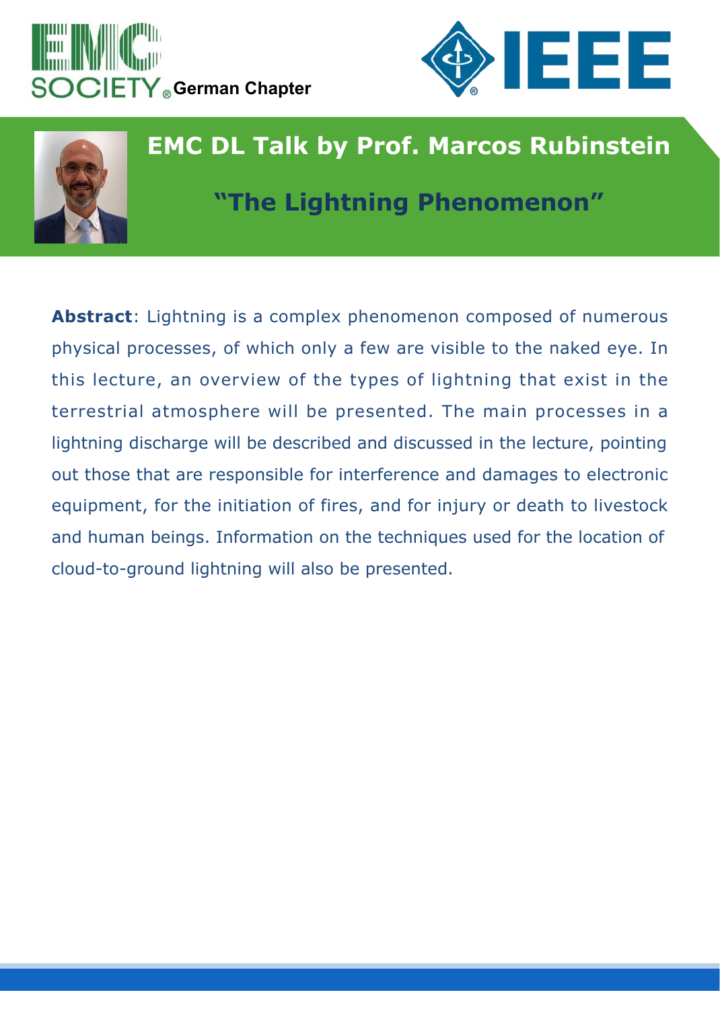





**Abstract**: Lightning is a complex phenomenon composed of numerous physical processes, of which only a few are visible to the naked eye. In this lecture, an overview of the types of lightning that exist in the terrestrial atmosphere will be presented. The main processes in a lightning discharge will be described and discussed in the lecture, pointing out those that are responsible for interference and damages to electronic equipment, for the initiation of fires, and for injury or death to livestock and human beings. Information on the techniques used for the location of cloud-to-ground lightning will also be presented.